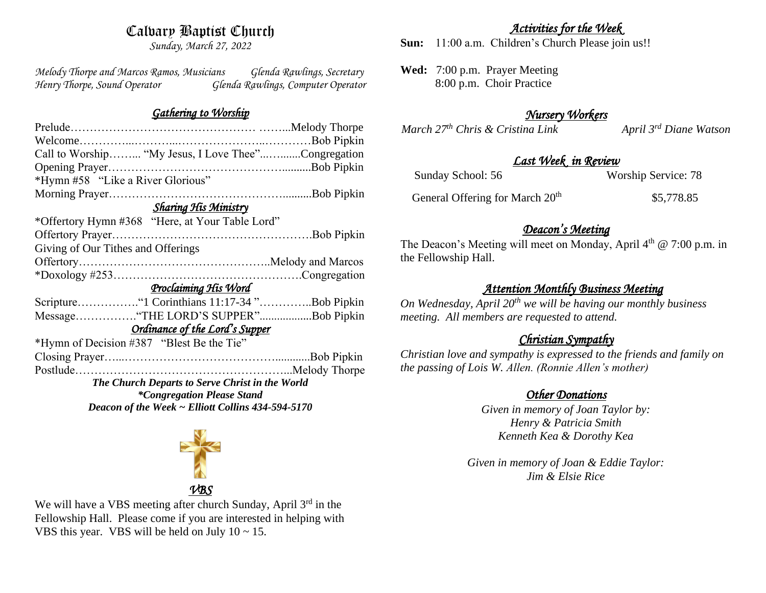# Calvary Baptist Church

*Sunday, March 27, 2022*

*Melody Thorpe and Marcos Ramos, Musicians Glenda Rawlings, Secretary Henry Thorpe, Sound Operator Glenda Rawlings, Computer Operator* 

#### *Gathering to Worship*

| Call to Worship "My Jesus, I Love Thee"Congregation |  |  |
|-----------------------------------------------------|--|--|
|                                                     |  |  |
| *Hymn #58 "Like a River Glorious"                   |  |  |
|                                                     |  |  |
| <b>Sharing His Ministry</b>                         |  |  |
| *Offertory Hymn #368 "Here, at Your Table Lord"     |  |  |
|                                                     |  |  |
| Giving of Our Tithes and Offerings                  |  |  |
|                                                     |  |  |
|                                                     |  |  |
| <u>Proclaiming His Word</u>                         |  |  |
| Scripture "1 Corinthians 11:17-34 "Bob Pipkin       |  |  |
| Message"THE LORD'S SUPPER"Bob Pipkin                |  |  |
| Ordinance of the Lord's Supper                      |  |  |
| *Hymn of Decision #387 "Blest Be the Tie"           |  |  |
|                                                     |  |  |
|                                                     |  |  |
| The Church Departs to Serve Christ in the World     |  |  |
| <i>*Congregation Please Stand</i>                   |  |  |
| Deacon of the Week ~ Elliott Collins 434-594-5170   |  |  |



We will have a VBS meeting after church Sunday, April 3<sup>rd</sup> in the Fellowship Hall. Please come if you are interested in helping with VBS this year. VBS will be held on July  $10 \sim 15$ .

## *Activities for the Week*

**Sun:** 11:00 a.m. Children's Church Please join us!!

**Wed:** 7:00 p.m. Prayer Meeting 8:00 p.m. Choir Practice

# *Nursery Workers*

*March*  $27<sup>th</sup>$  *Chris & Cristina Link April 3<sup><i>rd*</sup> Diane Watson</sup>

### *Last Week in Review*

| Sunday School: 56                           | <b>Worship Service: 78</b> |
|---------------------------------------------|----------------------------|
| General Offering for March 20 <sup>th</sup> | \$5,778.85                 |

# *Deacon's Meeting*

The Deacon's Meeting will meet on Monday, April 4<sup>th</sup> @ 7:00 p.m. in the Fellowship Hall.

# *Attention Monthly Business Meeting*

*On Wednesday, April 20th we will be having our monthly business meeting. All members are requested to attend.* 

# *Christian Sympathy*

*Christian love and sympathy is expressed to the friends and family on the passing of Lois W. Allen. (Ronnie Allen's mother)*

# *Other Donations*

*Given in memory of Joan Taylor by: Henry & Patricia Smith Kenneth Kea & Dorothy Kea*

*Given in memory of Joan & Eddie Taylor: Jim & Elsie Rice*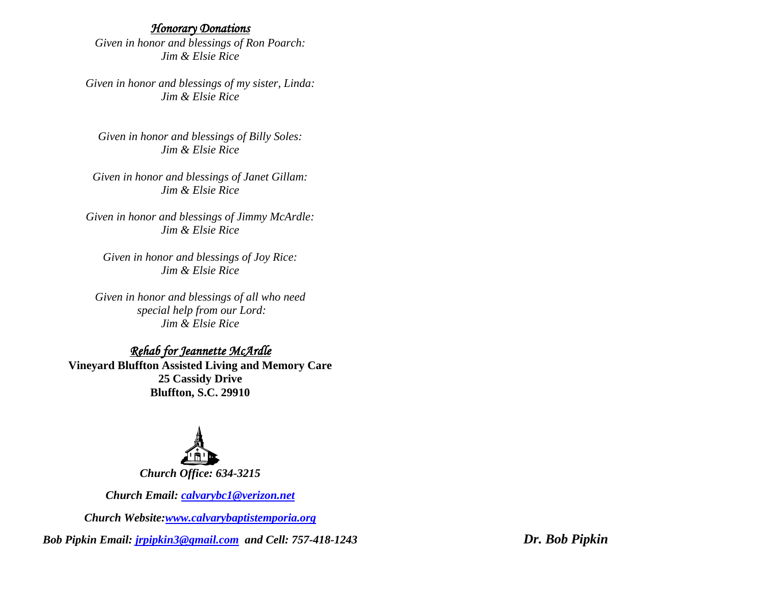#### *Honorary Donations*

*Given in honor and blessings of Ron Poarch: Jim & Elsie Rice*

*Given in honor and blessings of my sister, Linda: Jim & Elsie Rice*

*Given in honor and blessings of Billy Soles: Jim & Elsie Rice*

*Given in honor and blessings of Janet Gillam: Jim & Elsie Rice*

*Given in honor and blessings of Jimmy McArdle: Jim & Elsie Rice*

*Given in honor and blessings of Joy Rice: Jim & Elsie Rice*

*Given in honor and blessings of all who need special help from our Lord: Jim & Elsie Rice*

### *Rehab for Jeannette McArdle*

**Vineyard Bluffton Assisted Living and Memory Care 25 Cassidy Drive Bluffton, S.C. 29910**



*Church Email: [calvarybc1@verizon.net](mailto:cbcemporiaoffice@gmail.com)*

*Church Website[:www.calvarybaptistemporia.org](http://www.calvarybaptistemporia.org/)*

*Bob Pipkin Email: [jrpipkin3@gmail.com](mailto:jrpipkin3@gmail.com) and Cell: 757-418-1243 Dr. Bob Pipkin*